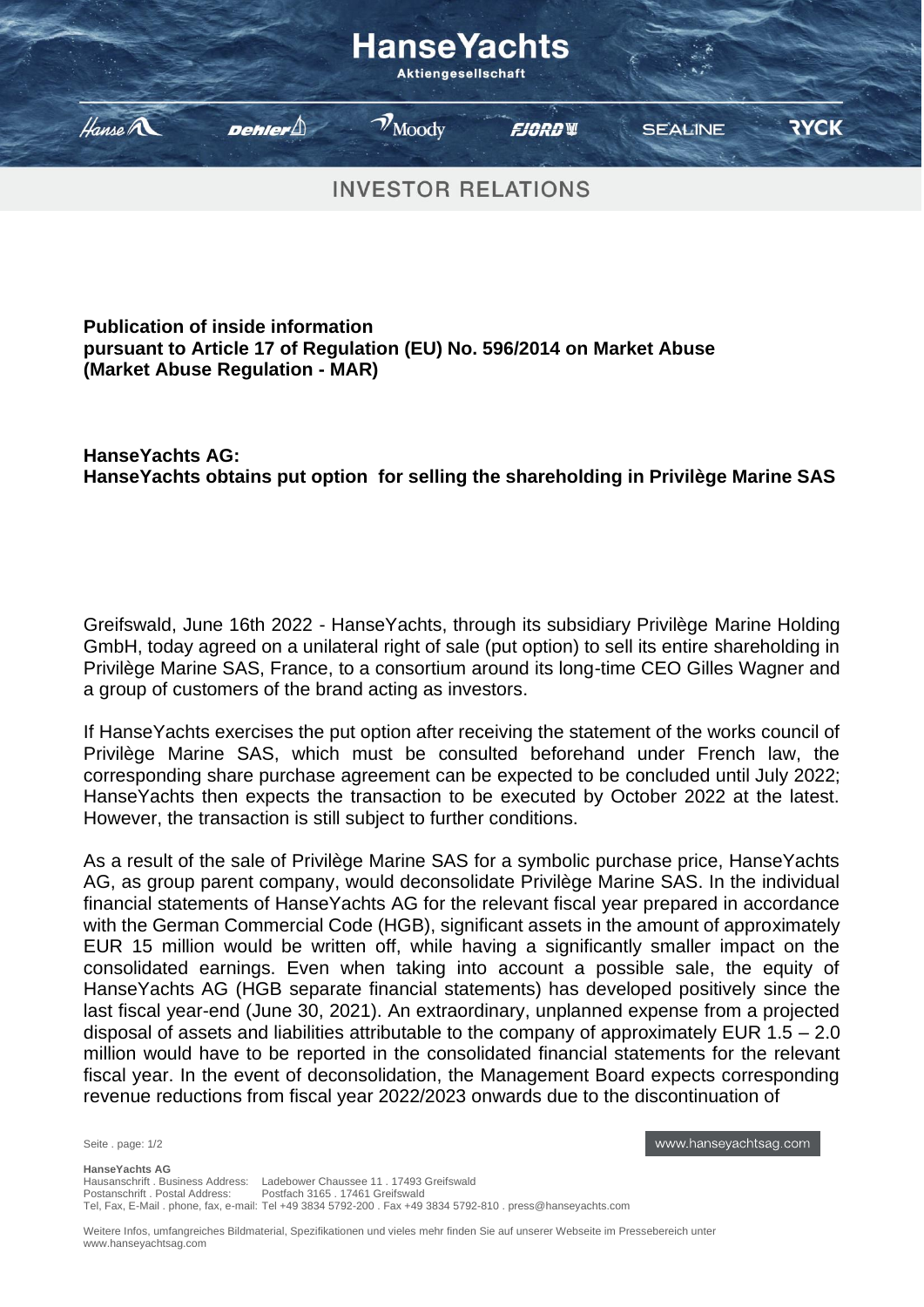

## **Publication of inside information pursuant to Article 17 of Regulation (EU) No. 596/2014 on Market Abuse (Market Abuse Regulation - MAR)**

## **HanseYachts AG: HanseYachts obtains put option for selling the shareholding in Privilège Marine SAS**

Greifswald, June 16th 2022 - HanseYachts, through its subsidiary Privilège Marine Holding GmbH, today agreed on a unilateral right of sale (put option) to sell its entire shareholding in Privilège Marine SAS, France, to a consortium around its long-time CEO Gilles Wagner and a group of customers of the brand acting as investors.

If HanseYachts exercises the put option after receiving the statement of the works council of Privilège Marine SAS, which must be consulted beforehand under French law, the corresponding share purchase agreement can be expected to be concluded until July 2022; HanseYachts then expects the transaction to be executed by October 2022 at the latest. However, the transaction is still subject to further conditions.

As a result of the sale of Privilège Marine SAS for a symbolic purchase price, HanseYachts AG, as group parent company, would deconsolidate Privilège Marine SAS. In the individual financial statements of HanseYachts AG for the relevant fiscal year prepared in accordance with the German Commercial Code (HGB), significant assets in the amount of approximately EUR 15 million would be written off, while having a significantly smaller impact on the consolidated earnings. Even when taking into account a possible sale, the equity of HanseYachts AG (HGB separate financial statements) has developed positively since the last fiscal year-end (June 30, 2021). An extraordinary, unplanned expense from a projected disposal of assets and liabilities attributable to the company of approximately EUR 1.5 – 2.0 million would have to be reported in the consolidated financial statements for the relevant fiscal year. In the event of deconsolidation, the Management Board expects corresponding revenue reductions from fiscal year 2022/2023 onwards due to the discontinuation of

Seite . page: 1/2

www.hanseyachtsag.com

Weitere Infos, umfangreiches Bildmaterial, Spezifikationen und vieles mehr finden Sie auf unserer Webseite im Pressebereich unter www.hanseyachtsag.com